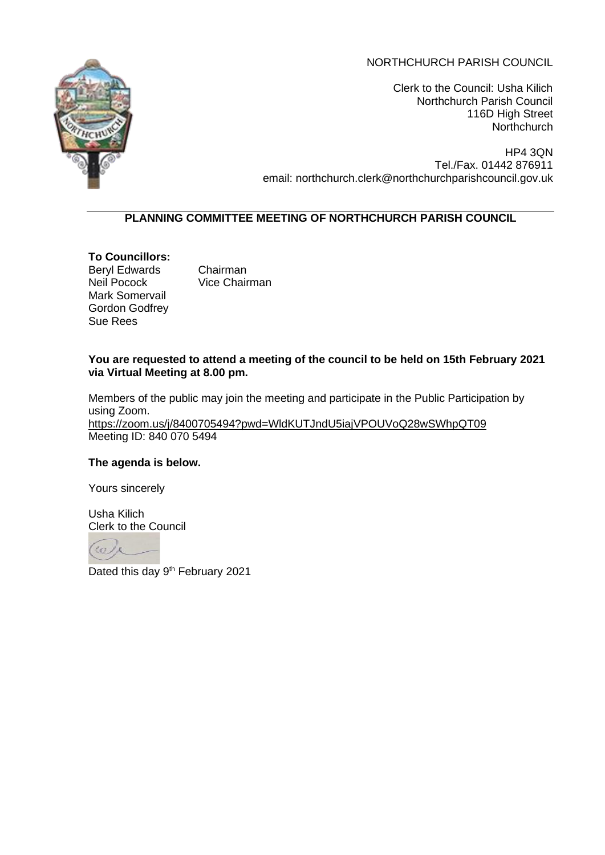# NORTHCHURCH PARISH COUNCIL



Clerk to the Council: Usha Kilich Northchurch Parish Council 116D High Street **Northchurch** 

HP4 3QN Tel./Fax. 01442 876911 email: northchurch.clerk@northchurchparishcouncil.gov.uk

# **PLANNING COMMITTEE MEETING OF NORTHCHURCH PARISH COUNCIL**

**To Councillors:** Beryl Edwards Chairman Neil Pocock Vice Chairman Mark Somervail Gordon Godfrey Sue Rees

# **You are requested to attend a meeting of the council to be held on 15th February 2021 via Virtual Meeting at 8.00 pm.**

Members of the public may join the meeting and participate in the Public Participation by using Zoom. <https://zoom.us/j/8400705494?pwd=WldKUTJndU5iajVPOUVoQ28wSWhpQT09> Meeting ID: 840 070 5494

# **The agenda is below.**

Yours sincerely

Usha Kilich Clerk to the Council

 $\overline{c}$ 

Dated this day 9<sup>th</sup> February 2021